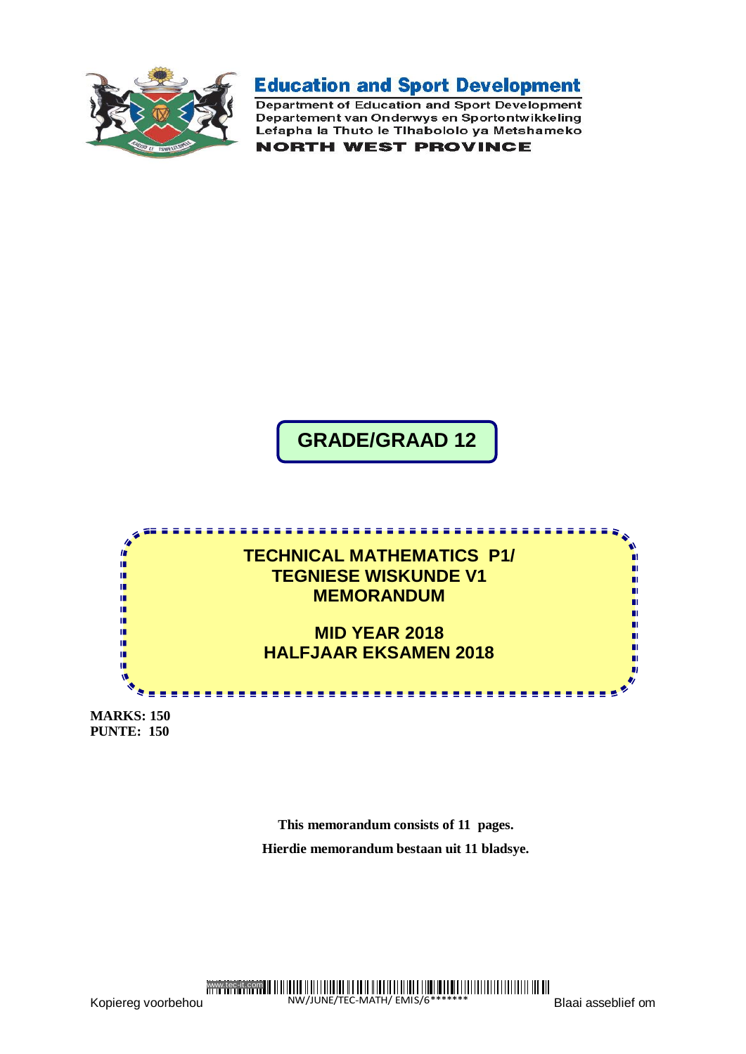

**Education and Sport Development** 

Department of Education and Sport Development Departement van Onderwys en Sportontwikkeling Lefapha la Thuto le Tihabololo ya Metshameko

**NORTH WEST PROVINCE** 

# **GRADE/GRAAD 12**



**MARKS: 150 PUNTE: 150**

> **This memorandum consists of 11 pages. Hierdie memorandum bestaan uit 11 bladsye.**

www.tec-it.com

Kopiereg voorbehou

NW/JUNE/TEC-MATH/ EMIS/6 \*\*\*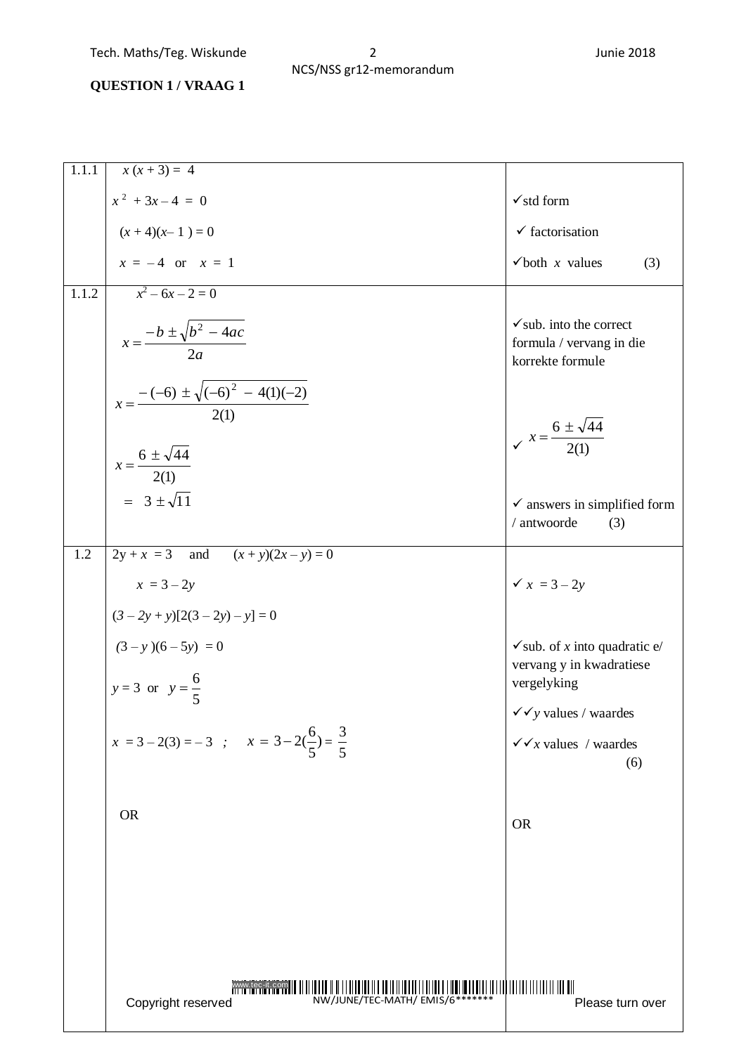# **QUESTION 1 / VRAAG 1**

| 1.1.1              | $x(x+3) = 4$                                                              |                                                                                     |
|--------------------|---------------------------------------------------------------------------|-------------------------------------------------------------------------------------|
|                    | $x^2 + 3x - 4 = 0$                                                        | $\checkmark$ std form                                                               |
|                    | $(x+4)(x-1) = 0$                                                          | $\checkmark$ factorisation                                                          |
|                    | $x = -4$ or $x = 1$                                                       | $\checkmark$ both x values<br>(3)                                                   |
| $1.1.\overline{2}$ | $x^2-6x-2=0$                                                              |                                                                                     |
|                    | $x = \frac{-b \pm \sqrt{b^2 - 4ac}}{2a}$                                  | $\checkmark$ sub. into the correct<br>formula / vervang in die<br>korrekte formule  |
|                    | $x = \frac{-(-6) \pm \sqrt{(-6)^2 - 4(1)(-2)}}{2(1)}$                     | $x = \frac{6 \pm \sqrt{44}}{2(1)}$                                                  |
|                    | $x = \frac{6 \pm \sqrt{44}}{2(1)}$                                        |                                                                                     |
|                    | $= 3 \pm \sqrt{11}$                                                       | $\checkmark$ answers in simplified form<br>/ antwoorde<br>(3)                       |
| 1.2                | $2y + x = 3$ and $(x + y)(2x - y) = 0$                                    |                                                                                     |
|                    | $x = 3 - 2y$                                                              | $x = 3 - 2y$                                                                        |
|                    | $(3-2y+y)[2(3-2y)-y]=0$                                                   |                                                                                     |
|                    | $(3 - y)(6 - 5y) = 0$<br>$y = 3$ or $y = \frac{6}{5}$                     | $\checkmark$ sub. of x into quadratic e/<br>vervang y in kwadratiese<br>vergelyking |
|                    |                                                                           |                                                                                     |
|                    | $x = 3-2(3) = -3$ ; $x = 3-2(\frac{6}{5}) = \frac{3}{5}$                  | $\checkmark \checkmark$ values / waardes<br>$\sqrt{x}$ values / waardes<br>(6)      |
|                    | <b>OR</b>                                                                 | <b>OR</b>                                                                           |
|                    |                                                                           |                                                                                     |
|                    |                                                                           |                                                                                     |
|                    |                                                                           |                                                                                     |
|                    | www.tec-it.com<br>NW/JUNE/TEC-MATH/ EMIS/6 ********<br>Copyright reserved | <b>TILLE</b><br>Please turn over                                                    |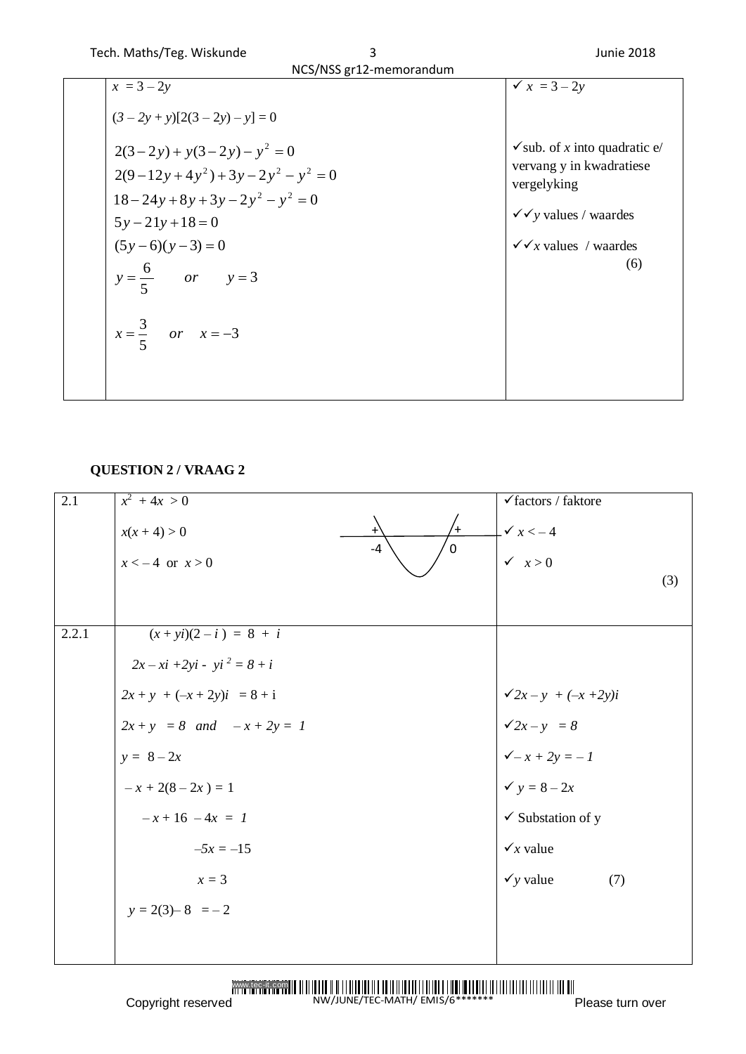| <b>ICUIL MOULD ICE. WISKUILLE</b>                                                                 | <b>JUILE ZUTO</b>                                                                                                               |
|---------------------------------------------------------------------------------------------------|---------------------------------------------------------------------------------------------------------------------------------|
| NCS/NSS gr12-memorandum                                                                           |                                                                                                                                 |
| $x = 3 - 2y$                                                                                      | $\sqrt{x}$ = 3 – 2y                                                                                                             |
| $(3-2y+y)[2(3-2y)-y]=0$                                                                           |                                                                                                                                 |
| $2(3-2y) + y(3-2y) - y^2 = 0$<br>$2(9-12y+4y^{2})+3y-2y^{2}-y^{2}=0$<br>$18-24y+8y+3y-2y^2-y^2=0$ | $\checkmark$ sub. of x into quadratic e/<br>vervang y in kwadratiese<br>vergelyking<br>$\checkmark \checkmark$ values / waardes |
| $(5y-6)(y-3)=0$                                                                                   | $\sqrt{x}$ values / waardes<br>(6)                                                                                              |
| $x = \frac{3}{5}$ or $x = -3$                                                                     |                                                                                                                                 |
|                                                                                                   | $5y - 21y + 18 = 0$<br>$y = \frac{6}{5}$ or $y = 3$                                                                             |

### **QUESTION 2 / VRAAG 2**

| (3)                      |
|--------------------------|
|                          |
|                          |
| $\sqrt{2x-y} + (-x+2y)i$ |
|                          |
|                          |
|                          |
|                          |
|                          |
| (7)                      |
|                          |
|                          |
|                          |

NW/JUNE/TEC-MATH/ EMIS/6\*\*\*\*\*\*\*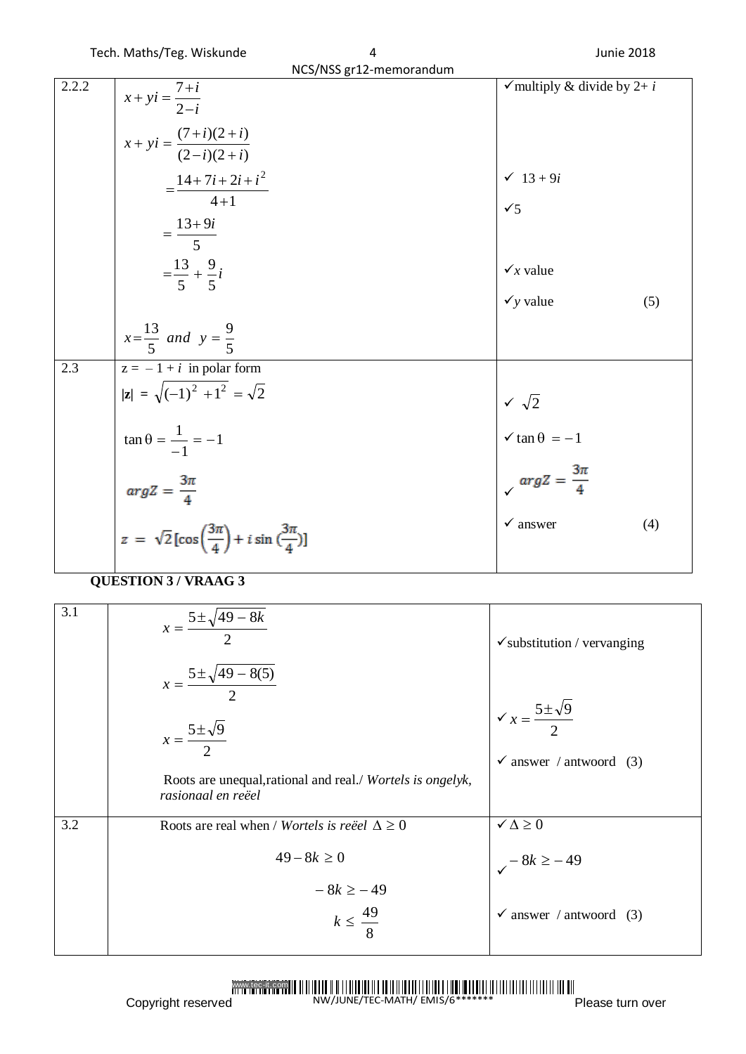| NCS/NSS gr12-memorandum |                                                                                                                                                                                                                                                                                          |                                                                                                                                             |  |
|-------------------------|------------------------------------------------------------------------------------------------------------------------------------------------------------------------------------------------------------------------------------------------------------------------------------------|---------------------------------------------------------------------------------------------------------------------------------------------|--|
| 2.2.2                   | $x + yi = \frac{7+i}{2-i}$<br>$x + yi = \frac{(7+i)(2+i)}{(2-i)(2+i)}$<br>$=\frac{14+7i+2i+i^2}{4+1}$<br>$=\frac{13+9i}{5}$<br>$=\frac{13}{5}+\frac{9}{5}i$                                                                                                                              | $\checkmark$ multiply & divide by 2+ i<br>$\checkmark$ 13 + 9 <i>i</i><br>$\checkmark$<br>$\checkmark$ value<br>$\checkmark$ y value<br>(5) |  |
| 2.3                     | $x=\frac{13}{5}$ and $y=\frac{9}{5}$<br>$z = -1 + i$ in polar form<br>$ z  = \sqrt{(-1)^2 + 1^2} = \sqrt{2}$<br>$\tan \theta = \frac{1}{-1} = -1$<br>$arg Z = \frac{3\pi}{4}$<br>$z = \sqrt{2} \left[ \cos \left( \frac{3\pi}{4} \right) + i \sin \left( \frac{3\pi}{4} \right) \right]$ | $\begin{cases} \sqrt{2} \\ \sqrt{\tan \theta} = -1 \end{cases}$<br>$argZ = \frac{3\pi}{4}$<br>$\checkmark$ answer<br>(4)                    |  |

# **QUESTION 3 / VRAAG 3**

| 3.1 | $x = \frac{5 \pm \sqrt{49 - 8k}}{2}$                                                              | $\checkmark$ substitution / vervanging             |
|-----|---------------------------------------------------------------------------------------------------|----------------------------------------------------|
|     | $x = \frac{5 \pm \sqrt{49 - 8(5)}}{2}$<br>$x=\frac{5\pm\sqrt{9}}{2}$                              | $\sqrt{x} = \frac{5 \pm \sqrt{9}}{2}$              |
|     | Roots are unequal, rational and real./ Wortels is ongelyk,<br>rasionaal en reëel                  | $\checkmark$ answer / antwoord (3)                 |
| 3.2 | Roots are real when / <i>Wortels is reëel</i> $\Delta \geq 0$<br>$49 - 8k \ge 0$<br>$-8k \ge -49$ | $\checkmark \Delta \geq 0$<br>$\sqrt{-8k} \ge -49$ |
|     | $k \leq \frac{49}{8}$                                                                             | $\checkmark$ answer / antwoord (3)                 |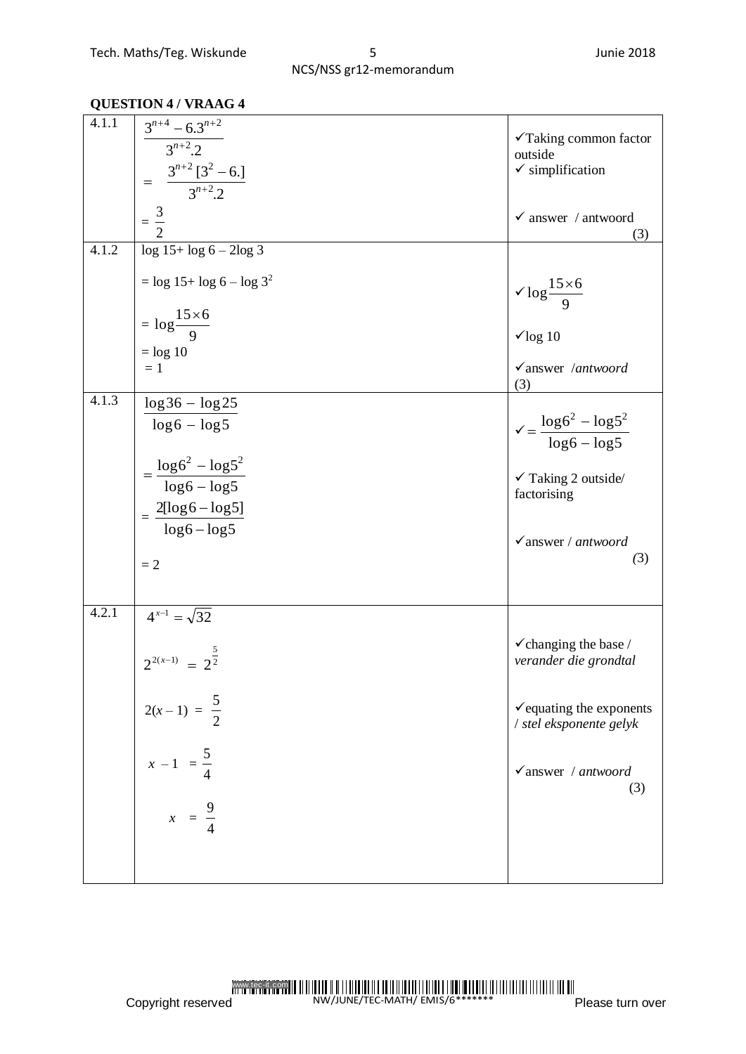#### **QUESTION 4 / VRAAG 4**

| 4.1.1 | $\frac{3^{n+4}-6.3^{n+2}}{3^{n+2}.2}$<br>$= \frac{3^{n+2} [3^2 - 6.]}{3^{n+2} .2}$ | √Taking common factor<br>outside<br>$\checkmark$ simplification |
|-------|------------------------------------------------------------------------------------|-----------------------------------------------------------------|
|       | $=\frac{3}{2}$                                                                     | $\checkmark$ answer / antwoord<br>(3)                           |
| 4.1.2 | $\log 15 + \log 6 - 2\log 3$                                                       |                                                                 |
|       | $=$ log 15+ log 6 – log 3 <sup>2</sup>                                             | $\sqrt{\log \frac{15\times 6}{9}}$                              |
|       | $=\log \frac{15\times 6}{9}$                                                       | $\sqrt{\log 10}$                                                |
|       | $=$ log 10<br>$=1$                                                                 | $\checkmark$ answer /antwoord                                   |
|       |                                                                                    | (3)                                                             |
| 4.1.3 | $\log 36 - \log 25$<br>$\log 6 - \log 5$                                           | $\sqrt{\frac{\log 6^2 - \log 5^2}{\log 6 - \log 5}}$            |
|       | $=\frac{\log 6^2 - \log 5^2}{\log 6 - \log 5}$                                     | $\checkmark$ Taking 2 outside/                                  |
|       |                                                                                    | factorising                                                     |
|       | $=\frac{2[\log 6-\log 5]}{\log 6-\log 5}$                                          |                                                                 |
|       | $=2$                                                                               | $\checkmark$ answer / antwoord<br>(3)                           |
| 4.2.1 | $4^{x-1} = \sqrt{32}$                                                              |                                                                 |
|       | $2^{2(x-1)} = 2^{\frac{5}{2}}$                                                     | $\checkmark$ changing the base /<br>verander die grondtal       |
|       | $2(x-1) = \frac{5}{2}$                                                             | $\checkmark$ equating the exponents<br>/ stel eksponente gelyk  |
|       | $x - 1 = \frac{5}{4}$                                                              | $\checkmark$ answer / antwoord<br>(3)                           |
|       | $x = \frac{9}{4}$                                                                  |                                                                 |
|       |                                                                                    |                                                                 |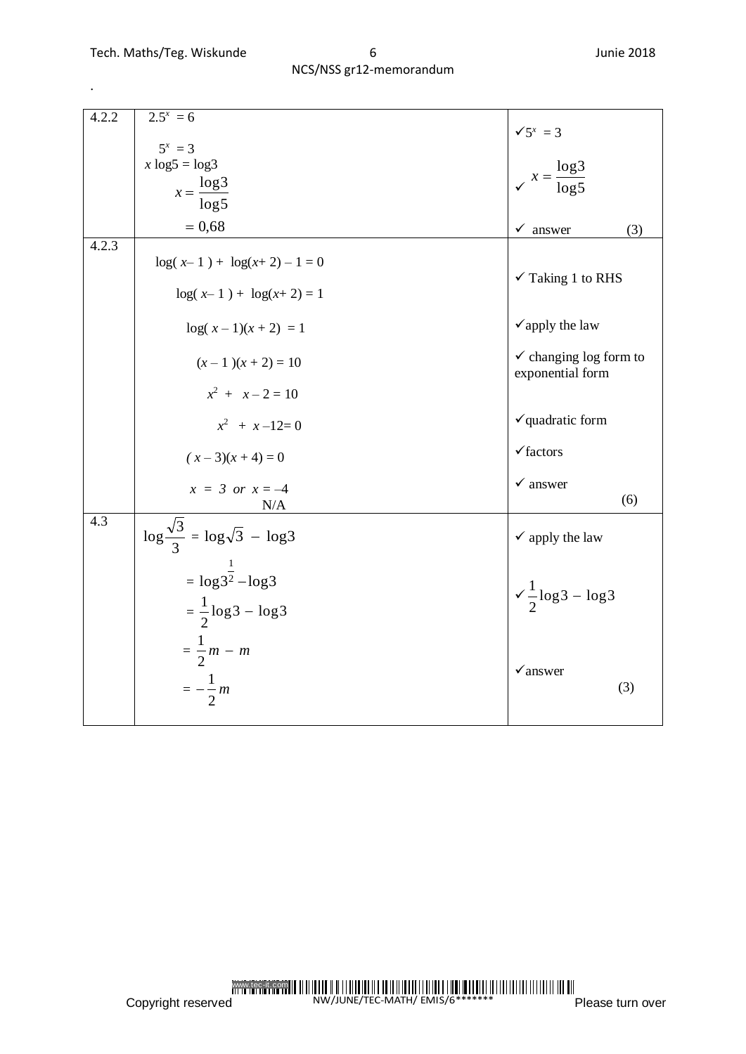.

| 4.2.2 | $2.5^{x} = 6$                                                   | $\sqrt{5^x} = 3$                                      |
|-------|-----------------------------------------------------------------|-------------------------------------------------------|
|       | $5^x = 3$                                                       |                                                       |
|       | $x \log 5 = \log 3$                                             |                                                       |
|       | $x = \frac{\log 3}{\log 3}$                                     | $x = \frac{\log 3}{\log 5}$                           |
|       | $\log 5$                                                        |                                                       |
|       | $= 0,68$                                                        | $\checkmark$ answer<br>(3)                            |
| 4.2.3 | $\log(x-1) + \log(x+2) - 1 = 0$                                 |                                                       |
|       | $log(x-1) + log(x+2) = 1$                                       | $\checkmark$ Taking 1 to RHS                          |
|       | $log(x-1)(x+2) = 1$                                             | $\checkmark$ apply the law                            |
|       | $(x-1)(x+2) = 10$                                               | $\checkmark$ changing log form to<br>exponential form |
|       | $x^2 + x - 2 = 10$                                              |                                                       |
|       | $x^2$ + $x-12=0$                                                | $\checkmark$ quadratic form                           |
|       | $(x-3)(x+4)=0$                                                  | $\checkmark$ factors                                  |
|       | $x = 3$ or $x = -4$<br>N/A                                      | $\checkmark$ answer<br>(6)                            |
| 4.3   | $\log \frac{\sqrt{3}}{3} = \log \sqrt{3} - \log 3$              | $\checkmark$ apply the law                            |
|       | $= \log 3^{\frac{1}{2}} - \log 3$<br>$=\frac{1}{2}$ log3 – log3 | $\sqrt{\frac{1}{2}} \log 3 - \log 3$                  |
|       | $=\frac{1}{2}m - m$<br>$=-\frac{1}{2}m$                         | $\checkmark$ answer<br>(3)                            |

www.tec-it.com NW/JUNE/TEC-MATH/ EMIS/6\*\*\*\*\*\*\*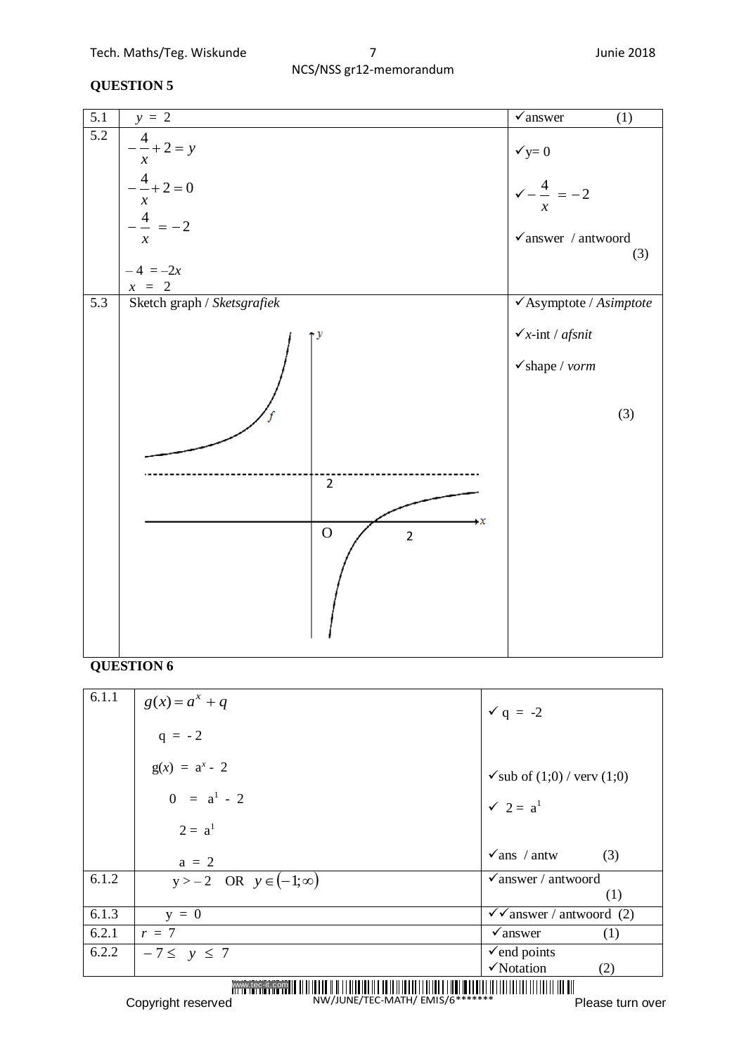| $\overline{5.1}$ | $y = 2$                                                                                                                                                      | $\checkmark$ answer<br>(1)                                                                                   |
|------------------|--------------------------------------------------------------------------------------------------------------------------------------------------------------|--------------------------------------------------------------------------------------------------------------|
| $\overline{5.2}$ | $-\frac{4}{x} + 2 = y$<br>$\boldsymbol{\mathcal{X}}$<br>$-\frac{4}{-}+2=0$<br>$\boldsymbol{\mathcal{X}}$<br>$-\frac{4}{-}=-2$<br>$\mathcal{X}$<br>$-4 = -2x$ | $\checkmark$ y= 0<br>$\sqrt{-\frac{4}{-}} = -2$<br>$\boldsymbol{x}$<br>$\checkmark$ answer / antwoord<br>(3) |
|                  | $x = 2$                                                                                                                                                      |                                                                                                              |
| $\overline{5.3}$ | Sketch graph / Sketsgrafiek<br>$\overline{2}$<br>$\mathbf{x}$<br>$\overline{O}$<br>$\mathbf 2$                                                               | $\checkmark$ Asymptote / Asimptote<br>$\checkmark$ x-int / afsnit<br>$\checkmark$ shape / vorm<br>(3)        |

#### **QUESTION 6**

| 6.1.1 | $g(x) = a^x + q$                 | $\checkmark$ q = -2                                     |
|-------|----------------------------------|---------------------------------------------------------|
|       | $q = -2$                         |                                                         |
|       | $g(x) = a^{x} - 2$               | $\checkmark$ sub of (1;0) / very (1;0)                  |
|       | $0 = a^1 - 2$                    | $\checkmark$ 2 = $a^1$                                  |
|       | $2 = a^1$                        |                                                         |
|       | $a = 2$                          | $\sqrt{ans}/ant$ / antw<br>(3)                          |
| 6.1.2 | $y > -2$ OR $y \in (-1, \infty)$ | $\checkmark$ answer / antwoord<br>(1)                   |
| 6.1.3 | $y = 0$                          | $\checkmark$ answer / antwoord (2)                      |
| 6.2.1 | $r = 7$                          | $\sqrt{a}$ nswer<br>(1)                                 |
| 6.2.2 | $-7 \leq y \leq 7$               | $\checkmark$ end points<br>$\checkmark$ Notation<br>(2) |
|       |                                  |                                                         |

NW/JUNE/TEC-MATH/ EMIS/6\*\*\*\*\*\*\*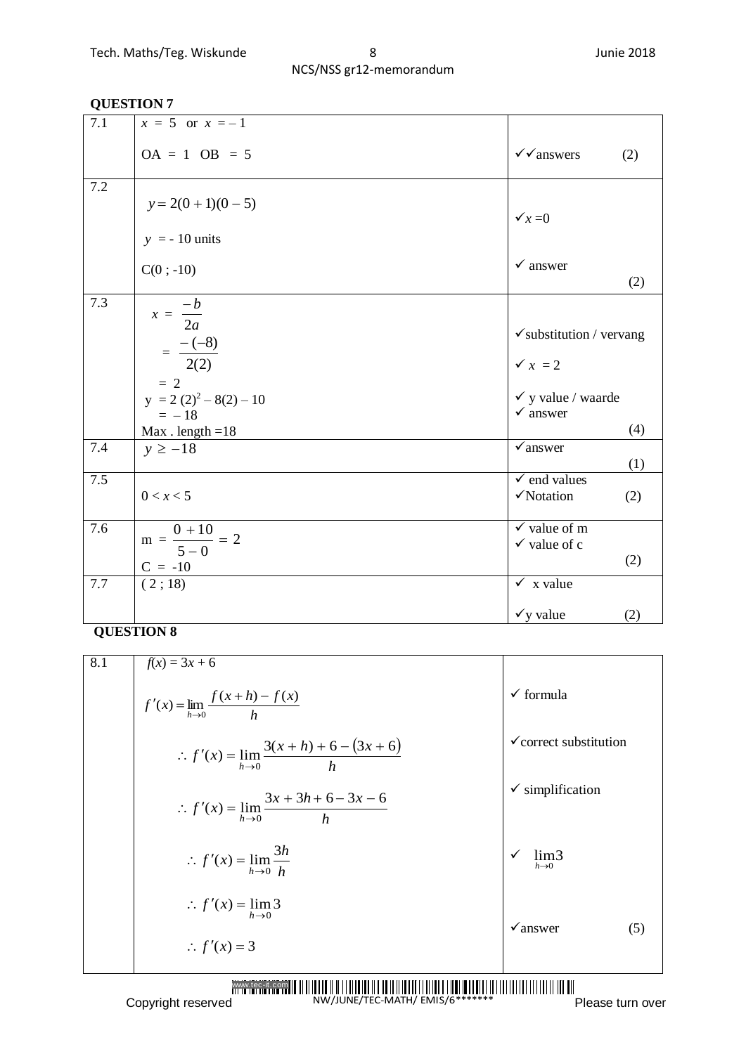| 7.1 | $x = 5$ or $x = -1$                                          |                                                      |     |
|-----|--------------------------------------------------------------|------------------------------------------------------|-----|
|     | $OA = 1 OB = 5$                                              | $\checkmark$ answers                                 | (2) |
| 7.2 | $y = 2(0 + 1)(0 - 5)$                                        | $\checkmark$ x = 0                                   |     |
|     | $y = -10$ units                                              |                                                      |     |
|     | $C(0; -10)$                                                  | $\checkmark$ answer                                  | (2) |
| 7.3 | $x = \frac{-b}{2a}$                                          | $\checkmark$ substitution / vervang                  |     |
|     | $=\frac{-(-8)}{2(2)}$<br>$= 2$                               | $\checkmark$ $x = 2$                                 |     |
|     | $y = 2(2)^{2} - 8(2) - 10$<br>$= -18$<br>$Max$ . length = 18 | $\checkmark$ y value / waarde<br>$\checkmark$ answer | (4) |
| 7.4 | $y \ge -18$                                                  | $\checkmark$ answer                                  | (1) |
| 7.5 | 0 < x < 5                                                    | $\sqrt{\ }$ end values<br>VNotation                  | (2) |
| 7.6 | $m = \frac{0+10}{5-0} = 2$<br>$C = -10$                      | $\checkmark$ value of m<br>$\checkmark$ value of c   | (2) |
| 7.7 | (2;18)                                                       | $\checkmark$ x value                                 |     |
|     |                                                              | $\checkmark$ y value                                 | (2) |

| 8.1 | $f(x) = 3x + 6$                                                    |                                           |
|-----|--------------------------------------------------------------------|-------------------------------------------|
|     | $f'(x) = \lim_{h \to 0} \frac{f(x+h) - f(x)}{h}$                   | $\checkmark$ formula                      |
|     | :. $f'(x) = \lim_{h \to 0} \frac{3(x+h) + 6 - (3x + 6)}{h}$        | $\checkmark$ correct substitution         |
|     | $\therefore f'(x) = \lim_{h \to 0} \frac{3x + 3h + 6 - 3x - 6}{h}$ | $\checkmark$ simplification               |
|     | $\therefore f'(x) = \lim_{h \to 0} \frac{3h}{h}$                   | ✓<br>lim <sub>3</sub><br>$h\rightarrow 0$ |
|     | $\therefore f'(x) = \lim_{h \to 0} 3$                              | $\checkmark$ answer<br>(5)                |
|     | $\therefore f'(x) = 3$                                             |                                           |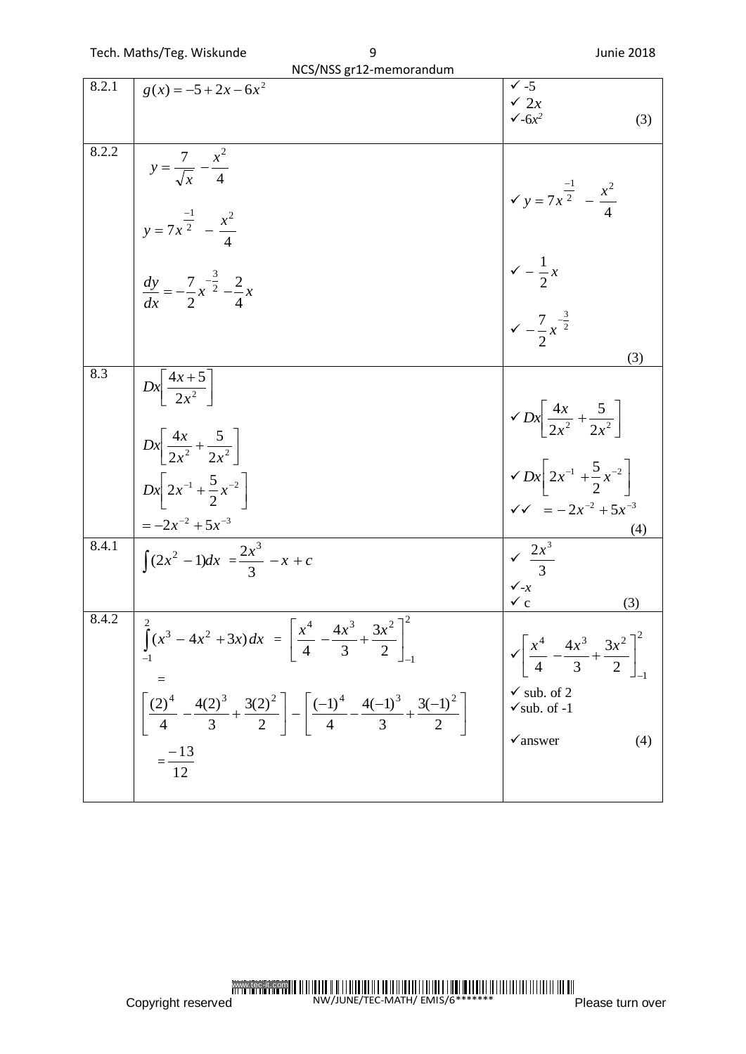|              | NCS/NSS gr12-memorandum                                                                                                                                                                                                                                                             |                                                                                                                                                                                         |  |  |
|--------------|-------------------------------------------------------------------------------------------------------------------------------------------------------------------------------------------------------------------------------------------------------------------------------------|-----------------------------------------------------------------------------------------------------------------------------------------------------------------------------------------|--|--|
| 8.2.1        | $g(x) = -5 + 2x - 6x^2$                                                                                                                                                                                                                                                             | $\checkmark$ -5<br>$\checkmark$ 2x<br>$\sqrt{-6x^2}$<br>(3)                                                                                                                             |  |  |
| 8.2.2        | $y = \frac{7}{\sqrt{x}} - \frac{x^2}{4}$<br>$y = 7x^{\frac{-1}{2}} - \frac{x^2}{4}$                                                                                                                                                                                                 | $y = 7x^{\frac{-1}{2}} - \frac{x^2}{4}$                                                                                                                                                 |  |  |
|              | $\frac{dy}{dx} = -\frac{7}{2}x^{-\frac{3}{2}} - \frac{2}{4}x$                                                                                                                                                                                                                       | $\sqrt{2} - \frac{1}{2}x$<br>$\sqrt{2} - \frac{7}{2}x^{-\frac{3}{2}}$                                                                                                                   |  |  |
|              |                                                                                                                                                                                                                                                                                     | (3)                                                                                                                                                                                     |  |  |
| 8.3<br>8.4.1 | $Dx\left[\frac{4x+5}{2x^2}\right]$<br>$Dx\left[\frac{4x}{2x^2}+\frac{5}{2x^2}\right]$<br>$Dx\left[2x^{-1}+\frac{5}{2}x^{-2}\right]$<br>$=-2x^{-2}+5x^{-3}$<br>$\int (2x^2 - 1) dx = \frac{2x^3}{3} - x + c$                                                                         | $\sqrt{Dx}\left[\frac{4x}{2x^2} + \frac{5}{2x^2}\right]$<br>$\sqrt{Dx} \left[ 2x^{-1} + \frac{5}{2}x^{-2} \right]$<br>$\sqrt{v} = -2x^{-2} + 5x^{-3}$<br>(4)<br>$\sqrt{\frac{2x^3}{3}}$ |  |  |
|              |                                                                                                                                                                                                                                                                                     | $\checkmark$ -x                                                                                                                                                                         |  |  |
| 8.4.2        | $\int_{-1}^{2} (x^3 - 4x^2 + 3x) dx = \left[ \frac{x^4}{4} - \frac{4x^3}{3} + \frac{3x^2}{2} \right]_{-1}^{2}$<br>$\left[\frac{(2)^4}{4} - \frac{4(2)^3}{3} + \frac{3(2)^2}{2}\right] - \left[\frac{(-1)^4}{4} - \frac{4(-1)^3}{3} + \frac{3(-1)^2}{2}\right]$<br>$=\frac{-13}{12}$ | $\checkmark$ c<br>(3)<br>$\sqrt{\left[\frac{x^4}{4} - \frac{4x^3}{3} + \frac{3x^2}{2}\right]^2}$<br>$\checkmark$ sub. of 2<br>$\checkmark$ sub. of -1<br>$\checkmark$ answer<br>(4)     |  |  |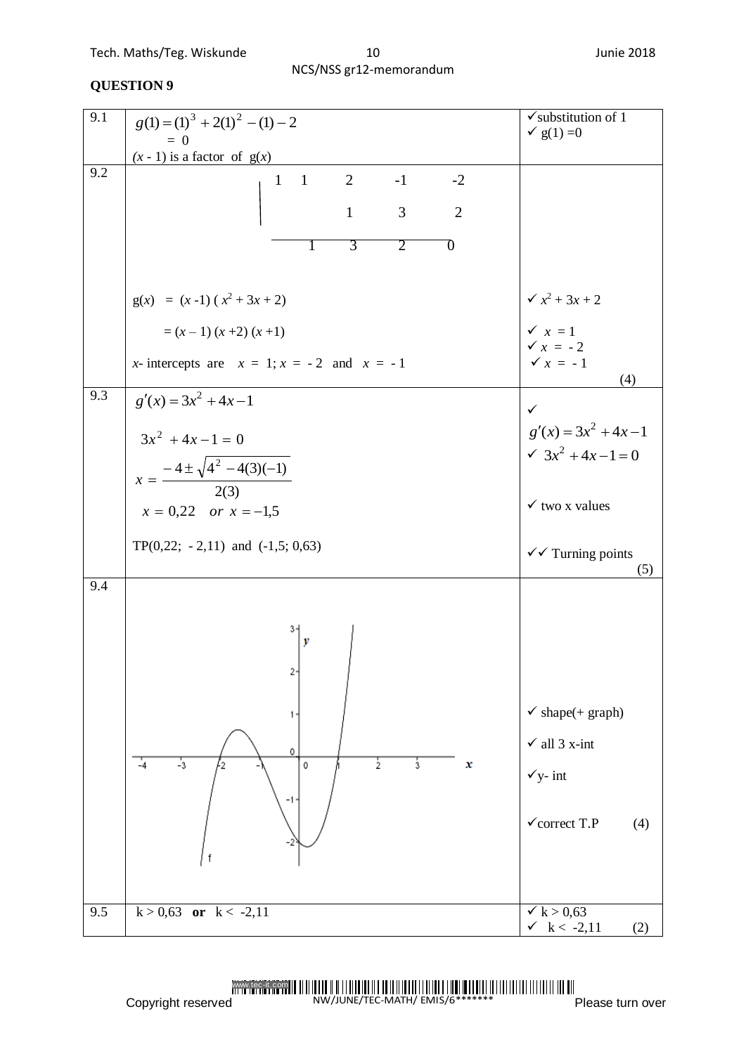| 9.1 | $g(1) = (1)^3 + 2(1)^2 - (1) - 2$                                                                                                                | $\checkmark$ substitution of 1<br>$\check{ }$ g(1) =0                                                             |
|-----|--------------------------------------------------------------------------------------------------------------------------------------------------|-------------------------------------------------------------------------------------------------------------------|
|     | $= 0$<br>$(x - 1)$ is a factor of $g(x)$                                                                                                         |                                                                                                                   |
| 9.2 | 2<br>$\overline{1}$<br>$-2$<br>$-1$<br>$\mathbf{1}$<br>$\overline{3}$<br>$\mathbf{1}$<br>$\overline{2}$<br>$\overline{3}$<br>$\overline{2}$<br>O |                                                                                                                   |
|     | $g(x) = (x-1)(x^2 + 3x + 2)$                                                                                                                     | $\sqrt{x^2+3x+2}$                                                                                                 |
|     | $=(x-1)(x+2)(x+1)$<br>x-intercepts are $x = 1$ ; $x = -2$ and $x = -1$                                                                           | $\checkmark$ $x=1$<br>$\checkmark$ x = -2<br>$\checkmark$ x = -1<br>(4)                                           |
| 9.3 | $g'(x) = 3x^2 + 4x - 1$<br>$3x^2 + 4x - 1 = 0$<br>$x = \frac{-4 \pm \sqrt{4^2 - 4(3)(-1)}}{2(3)}$<br>$x = 0,22$ or $x = -1,5$                    | ✓<br>$g'(x) = 3x^2 + 4x - 1$<br>$\sqrt{3x^2+4x-1}=0$<br>$\checkmark$ two x values                                 |
|     | TP $(0,22; -2,11)$ and $(-1,5; 0,63)$                                                                                                            | $\checkmark$ Turning points<br>(5)                                                                                |
| 9.4 | v<br>2.<br>0<br>$\frac{1}{3}$<br>$\frac{1}{2}$<br>$\frac{1}{3}$<br>x<br>$-4$<br>0<br>-1-                                                         | $\checkmark$ shape(+ graph)<br>$\checkmark$ all 3 x-int<br>$\checkmark$ y- int<br>$\checkmark$ correct T.P<br>(4) |
| 9.5 | $k > 0,63$ or $k < -2,11$                                                                                                                        | $\checkmark$ k > 0,63<br>$\checkmark$ k < -2,11<br>(2)                                                            |

www.tec-it.com NW/JUNE/TEC-MATH/ EMIS/6\*\*\*\*\*\*\*